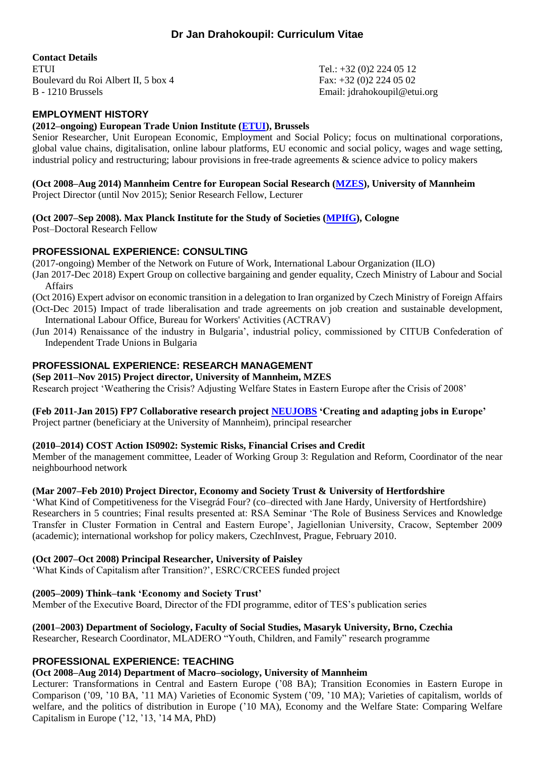# **Dr Jan Drahokoupil: Curriculum Vitae**

**Contact Details**

ETUI Tel.: +32 (0)2 224 05 12 Boulevard du Roi Albert II, 5 box 4 Fax: +32 (0) 2 224 05 02 B - 1210 Brussels Email: jdrahokoupil@etui.org

# **EMPLOYMENT HISTORY**

#### **(2012–ongoing) European Trade Union Institute [\(ETUI\)](http://www.etui.org/), Brussels**

Senior Researcher, Unit European Economic, Employment and Social Policy; focus on multinational corporations, global value chains, digitalisation, online labour platforms, EU economic and social policy, wages and wage setting, industrial policy and restructuring; labour provisions in free-trade agreements & science advice to policy makers

**(Oct 2008–Aug 2014) Mannheim Centre for European Social Research [\(MZES\)](http://www.mzes.uni-mannheim.de/), University of Mannheim** Project Director (until Nov 2015); Senior Research Fellow, Lecturer

# **(Oct 2007–Sep 2008). Max Planck Institute for the Study of Societies [\(MPIfG\)](http://www.mpifg.de/), Cologne**

Post–Doctoral Research Fellow

# **PROFESSIONAL EXPERIENCE: CONSULTING**

(2017-ongoing) Member of the Network on Future of Work, International Labour Organization (ILO) (Jan 2017-Dec 2018) Expert Group on collective bargaining and gender equality, Czech Ministry of Labour and Social Affairs

- (Oct 2016) Expert advisor on economic transition in a delegation to Iran organized by Czech Ministry of Foreign Affairs (Oct-Dec 2015) Impact of trade liberalisation and trade agreements on job creation and sustainable development,
- International Labour Office, Bureau for Workers' Activities (ACTRAV)
- (Jun 2014) Renaissance of the industry in Bulgaria', industrial policy, commissioned by CITUB Confederation of Independent Trade Unions in Bulgaria

# **PROFESSIONAL EXPERIENCE: RESEARCH MANAGEMENT**

# **(Sep 2011–Nov 2015) Project director, University of Mannheim, MZES**

Research project 'Weathering the Crisis? Adjusting Welfare States in Eastern Europe after the Crisis of 2008'

# **(Feb 2011-Jan 2015) FP7 Collaborative research project [NEUJOBS](http://www.neujobs.eu/) 'Creating and adapting jobs in Europe'**

Project partner (beneficiary at the University of Mannheim), principal researcher

# **(2010–2014) COST Action IS0902: Systemic Risks, Financial Crises and Credit**

Member of the management committee, Leader of Working Group 3: Regulation and Reform, Coordinator of the near neighbourhood network

# **(Mar 2007–Feb 2010) Project Director, Economy and Society Trust & University of Hertfordshire**

'What Kind of Competitiveness for the Visegrád Four? (co–directed with Jane Hardy, University of Hertfordshire) Researchers in 5 countries; Final results presented at: RSA Seminar 'The Role of Business Services and Knowledge Transfer in Cluster Formation in Central and Eastern Europe', Jagiellonian University, Cracow, September 2009 (academic); international workshop for policy makers, CzechInvest, Prague, February 2010.

# **(Oct 2007–Oct 2008) Principal Researcher, University of Paisley**

'What Kinds of Capitalism after Transition?', ESRC/CRCEES funded project

# **(2005–2009) Think–tank 'Economy and Society Trust'**

Member of the Executive Board, Director of the FDI programme, editor of TES's publication series

# **(2001–2003) Department of Sociology, Faculty of Social Studies, Masaryk University, Brno, Czechia**

Researcher, Research Coordinator, MLADERO "Youth, Children, and Family" research programme

# **PROFESSIONAL EXPERIENCE: TEACHING**

# **(Oct 2008–Aug 2014) Department of Macro–sociology, University of Mannheim**

Lecturer: Transformations in Central and Eastern Europe ('08 BA); Transition Economies in Eastern Europe in Comparison ('09, '10 BA, '11 MA) Varieties of Economic System ('09, '10 MA); Varieties of capitalism, worlds of welfare, and the politics of distribution in Europe ('10 MA), Economy and the Welfare State: Comparing Welfare Capitalism in Europe ('12, '13, '14 MA, PhD)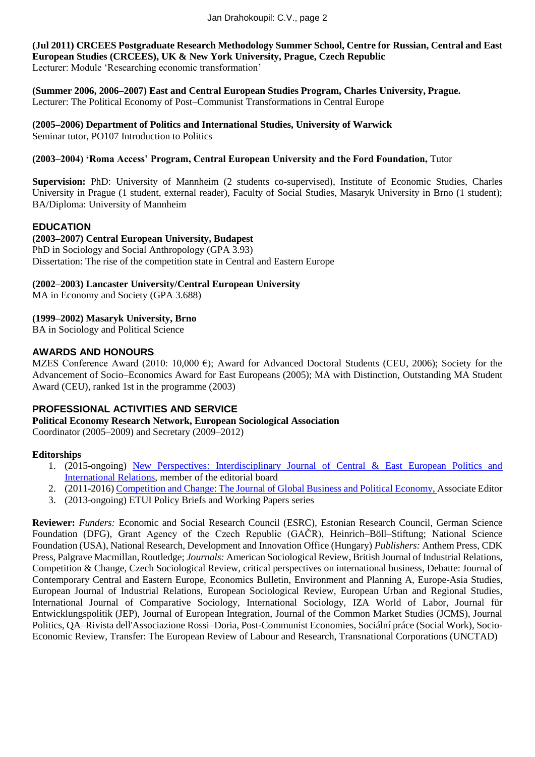**(Jul 2011) CRCEES Postgraduate Research Methodology Summer School, Centre for Russian, Central and East European Studies (CRCEES), UK & New York University, Prague, Czech Republic** Lecturer: Module 'Researching economic transformation'

**(Summer 2006, 2006–2007) East and Central European Studies Program, Charles University, Prague.** Lecturer: The Political Economy of Post–Communist Transformations in Central Europe

**(2005–2006) Department of Politics and International Studies, University of Warwick** Seminar tutor, PO107 Introduction to Politics

# **(2003–2004) 'Roma Access' Program, Central European University and the Ford Foundation,** Tutor

**Supervision:** PhD: University of Mannheim (2 students co-supervised), Institute of Economic Studies, Charles University in Prague (1 student, external reader), Faculty of Social Studies, Masaryk University in Brno (1 student); BA/Diploma: University of Mannheim

#### **EDUCATION**

**(2003–2007) Central European University, Budapest** PhD in Sociology and Social Anthropology (GPA 3.93)

Dissertation: The rise of the competition state in Central and Eastern Europe

# **(2002–2003) Lancaster University/Central European University**

MA in Economy and Society (GPA 3.688)

# **(1999–2002) Masaryk University, Brno**

BA in Sociology and Political Science

#### **AWARDS AND HONOURS**

MZES Conference Award (2010: 10,000  $\epsilon$ ); Award for Advanced Doctoral Students (CEU, 2006); Society for the Advancement of Socio–Economics Award for East Europeans (2005); MA with Distinction, Outstanding MA Student Award (CEU), ranked 1st in the programme (2003)

# **PROFESSIONAL ACTIVITIES AND SERVICE**

#### **Political Economy Research Network, European Sociological Association**

Coordinator (2005–2009) and Secretary (2009–2012)

# **Editorships**

- 1. (2015-ongoing) [New Perspectives: Interdisciplinary Journal of Central & East European Politics and](http://perspectives.iir.cz/home/index)  [International Relations,](http://perspectives.iir.cz/home/index) member of the editorial board
- 2. (2011-2016[\) Competition and Change: The Journal of Global Business and Political Economy,](http://maneypublishing.com/index.php/journals/com/) Associate Editor
- 3. (2013-ongoing) ETUI Policy Briefs and Working Papers series

**Reviewer:** *Funders:* Economic and Social Research Council (ESRC), Estonian Research Council, German Science Foundation (DFG), Grant Agency of the Czech Republic (GAČR), Heinrich–Böll–Stiftung; National Science Foundation (USA), National Research, Development and Innovation Office (Hungary) *Publishers:* Anthem Press, CDK Press, Palgrave Macmillan, Routledge; *Journals:* American Sociological Review, British Journal of Industrial Relations, Competition & Change, Czech Sociological Review, critical perspectives on international business, Debatte: Journal of Contemporary Central and Eastern Europe, Economics Bulletin, Environment and Planning A, Europe-Asia Studies, European Journal of Industrial Relations, European Sociological Review, European Urban and Regional Studies, International Journal of Comparative Sociology, International Sociology, IZA World of Labor, Journal für Entwicklungspolitik (JEP), Journal of European Integration, Journal of the Common Market Studies (JCMS), Journal Politics, QA–Rivista dell'Associazione Rossi–Doria, Post-Communist Economies, Sociální práce (Social Work), Socio-Economic Review, Transfer: The European Review of Labour and Research, Transnational Corporations (UNCTAD)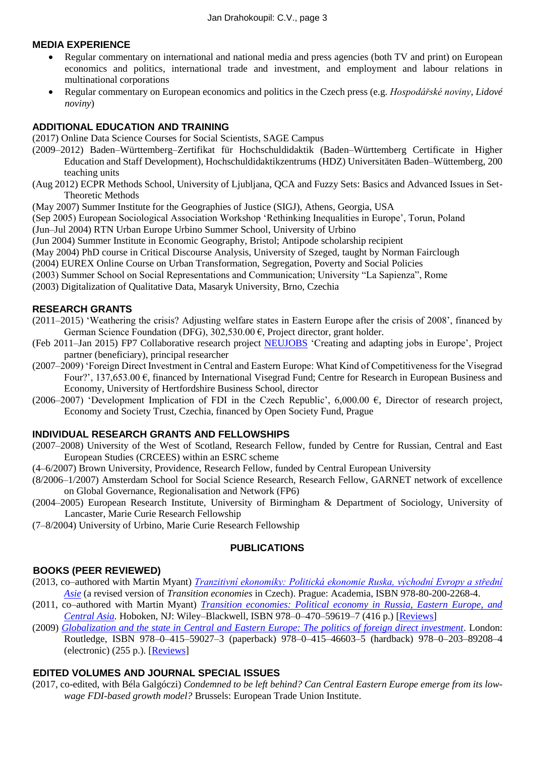# **MEDIA EXPERIENCE**

- Regular commentary on international and national media and press agencies (both TV and print) on European economics and politics, international trade and investment, and employment and labour relations in multinational corporations
- Regular commentary on European economics and politics in the Czech press (e.g. *Hospodářské noviny*, *Lidové noviny*)

#### **ADDITIONAL EDUCATION AND TRAINING**

(2017) Online Data Science Courses for Social Scientists, SAGE Campus

- (2009–2012) Baden–Württemberg–Zertifikat für Hochschuldidaktik (Baden–Württemberg Certificate in Higher Education and Staff Development), Hochschuldidaktikzentrums (HDZ) Universitäten Baden–Wüttemberg, 200 teaching units
- (Aug 2012) ECPR Methods School, University of Ljubljana, QCA and Fuzzy Sets: Basics and Advanced Issues in Set-Theoretic Methods

(May 2007) Summer Institute for the Geographies of Justice (SIGJ), Athens, Georgia, USA

(Sep 2005) European Sociological Association Workshop 'Rethinking Inequalities in Europe', Torun, Poland

(Jun–Jul 2004) RTN Urban Europe Urbino Summer School, University of Urbino

(Jun 2004) Summer Institute in Economic Geography, Bristol; Antipode scholarship recipient

(May 2004) PhD course in Critical Discourse Analysis, University of Szeged, taught by Norman Fairclough

(2004) EUREX Online Course on Urban Transformation, Segregation, Poverty and Social Policies

(2003) Summer School on Social Representations and Communication; University "La Sapienza", Rome

(2003) Digitalization of Qualitative Data, Masaryk University, Brno, Czechia

#### **RESEARCH GRANTS**

- (2011–2015) 'Weathering the crisis? Adjusting welfare states in Eastern Europe after the crisis of 2008', financed by German Science Foundation (DFG),  $302,530.00 \in$ , Project director, grant holder.
- (Feb 2011–Jan 2015) FP7 Collaborative research project [NEUJOBS](http://www.neujobs.eu/) 'Creating and adapting jobs in Europe', Project partner (beneficiary), principal researcher
- (2007–2009) 'Foreign Direct Investment in Central and Eastern Europe: What Kind of Competitiveness for the Visegrad Four?', 137,653.00 €, financed by International Visegrad Fund; Centre for Research in European Business and Economy, University of Hertfordshire Business School, director
- (2006–2007) 'Development Implication of FDI in the Czech Republic', 6,000.00  $\epsilon$ , Director of research project, Economy and Society Trust, Czechia, financed by Open Society Fund, Prague

#### **INDIVIDUAL RESEARCH GRANTS AND FELLOWSHIPS**

- (2007–2008) University of the West of Scotland, Research Fellow, funded by Centre for Russian, Central and East European Studies (CRCEES) within an ESRC scheme
- (4–6/2007) Brown University, Providence, Research Fellow, funded by Central European University
- (8/2006–1/2007) Amsterdam School for Social Science Research, Research Fellow, GARNET network of excellence on Global Governance, Regionalisation and Network (FP6)
- (2004–2005) European Research Institute, University of Birmingham & Department of Sociology, University of Lancaster, Marie Curie Research Fellowship
- (7–8/2004) University of Urbino, Marie Curie Research Fellowship

#### **PUBLICATIONS**

# **BOOKS (PEER REVIEWED)**

- (2013, co–authored with Martin Myant) *[Tranzitivní ekonomiky: Politická ekonomie Ruska, východní Evropy a střední](http://academia.cz/tranzitivni-ekonomiky.html)  [Asie](http://academia.cz/tranzitivni-ekonomiky.html)* (a revised version of *Transition economies* in Czech). Prague: Academia, ISBN 978-80-200-2268-4.
- (2011, co–authored with Martin Myant) *[Transition economies: Political economy in Russia, Eastern Europe, and](http://wiley.com/college/myant)  [Central Asia.](http://wiley.com/college/myant)* Hoboken, NJ: Wiley–Blackwell, ISBN 978–0–470–59619–7 (416 p.) [\[Reviews\]](http://bit.ly/tranec)
- (2009) *[Globalization and the state in Central and Eastern Europe: The politics of foreign direct investment.](http://www.routledge.com/books/Globalization-and-the-State-in-Central-and-Eastern-Europe-isbn9780415590273)* London: Routledge, ISBN 978–0–415–59027–3 (paperback) 978–0–415–46603–5 (hardback) 978–0–203–89208–4 (electronic) (255 p.). [\[Reviews\]](http://bit.ly/globcee)

# **EDITED VOLUMES AND JOURNAL SPECIAL ISSUES**

(2017, co-edited, with Béla Galgóczi) *Condemned to be left behind? Can Central Eastern Europe emerge from its lowwage FDI-based growth model?* Brussels: European Trade Union Institute.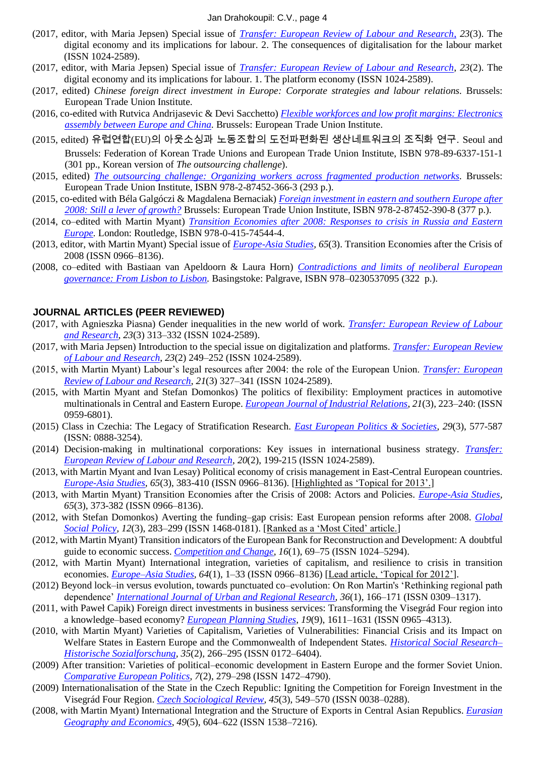- (2017, editor, with Maria Jepsen) Special issue of *[Transfer: European Review of Labour and Research](http://journals.sagepub.com/toc/trsa/23/3)*, *23*(3). The digital economy and its implications for labour. 2. The consequences of digitalisation for the labour market (ISSN 1024-2589).
- (2017, editor, with Maria Jepsen) Special issue of *[Transfer: European Review of Labour and Research](http://journals.sagepub.com/toc/trsa/23/2)*, *23*(2). The digital economy and its implications for labour. 1. The platform economy (ISSN 1024-2589).
- (2017, edited) *Chinese foreign direct investment in Europe: Corporate strategies and labour relations.* Brussels: European Trade Union Institute.
- (2016, co-edited with Rutvica Andrijasevic & Devi Sacchetto) *[Flexible workforces and low profit margins: Electronics](http://www.etui.org/Publications2/Books/Flexible-workforces-and-low-profit-margins-electronics-assembly-between-Europe-and-China)  [assembly between Europe and China.](http://www.etui.org/Publications2/Books/Flexible-workforces-and-low-profit-margins-electronics-assembly-between-Europe-and-China)* Brussels: European Trade Union Institute.
- (2015, edited) 유럽연합(EU)의 아웃소싱과 노동조합의 도전파편화된 생산네트워크의 조직화 연구. Seoul and Brussels: Federation of Korean Trade Unions and European Trade Union Institute, ISBN 978-89-6337-151-1 (301 pp., Korean version of *The outsourcing challenge*).
- (2015, edited) *The [outsourcing challenge: Organizing workers across fragmented production networks.](http://www.etui.org/Publications2/Books/The-outsourcing-challenge-organizing-workers-across-fragmented-production-networks)* Brussels: European Trade Union Institute, ISBN 978-2-87452-366-3 (293 p.).
- (2015, co-edited with Béla Galgóczi & Magdalena Bernaciak) *[Foreign investment in eastern and southern Europe after](https://www.etui.org/Publications2/Books/Foreign-investment-in-eastern-and-southern-Europe-after-2008.-Still-a-lever-of-growth)  [2008: Still a lever of growth?](https://www.etui.org/Publications2/Books/Foreign-investment-in-eastern-and-southern-Europe-after-2008.-Still-a-lever-of-growth)* Brussels: European Trade Union Institute, ISBN 978-2-87452-390-8 (377 p.).
- (2014, co–edited with Martin Myant) *[Transition Economies after 2008: Responses to crisis in Russia and Eastern](http://www.routledge.com/books/details/9780415745444/)  [Europe.](http://www.routledge.com/books/details/9780415745444/)* London: Routledge, ISBN 978-0-415-74544-4.
- (2013, editor, with Martin Myant) Special issue of *[Europe-Asia Studies,](http://www.tandfonline.com/doi/full/10.1080/09668136.2013.779459) 65*(3). Transition Economies after the Crisis of 2008 (ISSN 0966–8136).
- (2008, co–edited with Bastiaan van Apeldoorn & Laura Horn) *[Contradictions and limits of neoliberal European](http://www.palgrave.com/products/title.aspx?PID=281010)  [governance: From Lisbon to Lisbon.](http://www.palgrave.com/products/title.aspx?PID=281010)* Basingstoke: Palgrave, ISBN 978–0230537095 (322 p.).

#### **JOURNAL ARTICLES (PEER REVIEWED)**

- (2017, with Agnieszka Piasna) Gender inequalities in the new world of work. *[Transfer: European Review of Labour](http://journals.sagepub.com/doi/full/10.1177/1024258917713839)  [and Research](http://journals.sagepub.com/doi/full/10.1177/1024258917713839)*, *23*(3) 313–332 (ISSN 1024-2589).
- (2017, with Maria Jepsen) Introduction to the special issue on digitalization and platforms. *[Transfer: European Review](http://journals.sagepub.com/doi/full/10.1177/1024258917701380)  [of Labour and Research](http://journals.sagepub.com/doi/full/10.1177/1024258917701380)*, *23*(2) 249–252 (ISSN 1024-2589).
- (2015, with Martin Myant) Labour's legal resources after 2004: the role of the European Union. *[Transfer: European](http://trs.sagepub.com/content/21/3/327.abstract)  [Review of Labour and Research](http://trs.sagepub.com/content/21/3/327.abstract)*, *21*(3) 327–341 (ISSN 1024-2589).
- (2015, with Martin Myant and Stefan Domonkos) The politics of flexibility: Employment practices in automotive multinationals in Central and Eastern Europe. *[European Journal of Industrial Relations](http://ejd.sagepub.com/content/21/3/223)*, *21*(3), 223–240: (ISSN 0959-6801).
- (2015) Class in Czechia: The Legacy of Stratification Research. *[East European Politics & Societies](http://eep.sagepub.com/content/29/3/577.abstract)*, *29*(3), 577-587 (ISSN: 0888-3254).
- (2014) Decision-making in multinational corporations: Key issues in international business strategy. *[Transfer:](http://trs.sagepub.com/content/20/2/199.abstract)  [European Review of Labour and Research](http://trs.sagepub.com/content/20/2/199.abstract)*, *20*(2), 199-215 (ISSN 1024-2589).
- (2013, with Martin Myant and Ivan Lesay) Political economy of crisis management in East-Central European countries. *[Europe-Asia Studies,](http://www.tandfonline.com/doi/full/10.1080/09668136.2013.779460) 65*(3), 383-410 (ISSN 0966–8136). [Highlighted as 'Topical for 2013'.]
- (2013, with Martin Myant) Transition Economies after the Crisis of 2008: Actors and Policies. *[Europe-Asia Studies,](http://www.tandfonline.com/doi/full/10.1080/09668136.2013.779459) 65*(3), 373-382 (ISSN 0966–8136).
- (2012, with Stefan Domonkos) Averting the funding–gap crisis: East European pension reforms after 2008. *[Global](http://gsp.sagepub.com/content/12/3/283.abstract)  [Social Policy,](http://gsp.sagepub.com/content/12/3/283.abstract) 12*(3), 283–299 (ISSN 1468-0181). [Ranked as a 'Most Cited' article.]
- (2012, with Martin Myant) Transition indicators of the European Bank for Reconstruction and Development: A doubtful guide to economic success. *[Competition and Change](http://dx.doi.org/10.1179/1024529411Z.0000000005)*, *16*(1), 69–75 (ISSN 1024–5294).
- (2012, with Martin Myant) International integration, varieties of capitalism, and resilience to crisis in transition economies. *[Europe–Asia Studies,](http://www.tandfonline.com/doi/abs/10.1080/09668136.2012.635478) 64*(1), 1–33 (ISSN 0966–8136) [Lead article, 'Topical for 2012'].
- (2012) Beyond lock–in versus evolution, towards punctuated co–evolution: On Ron Martin's 'Rethinking regional path dependence' *[International Journal of Urban and Regional Research,](http://onlinelibrary.wiley.com/doi/10.1111/j.1468-2427.2011.01089.x/abstract) 36*(1), 166–171 (ISSN 0309–1317).
- (2011, with Paweł Capik) Foreign direct investments in business services: Transforming the Visegrád Four region into a knowledge–based economy? *[European Planning Studies,](http://www.tandfonline.com/doi/abs/10.1080/09654313.2011.586181) 19*(9), 1611–1631 (ISSN 0965–4313).
- (2010, with Martin Myant) Varieties of Capitalism, Varieties of Vulnerabilities: Financial Crisis and its Impact on Welfare States in Eastern Europe and the Commonwealth of Independent States. *[Historical Social Research–](http://ssrn.com/abstract=1506522) [Historische Sozialforschung,](http://ssrn.com/abstract=1506522) 35*(2)*,* 266–295 (ISSN 0172–6404).
- (2009) After transition: Varieties of political–economic development in Eastern Europe and the former Soviet Union. *[Comparative European Politics](http://www.palgrave-journals.com/cep/journal/v7/n2/full/cep200830a.html)*, *7*(2), 279–298 (ISSN 1472–4790).
- (2009) Internationalisation of the State in the Czech Republic: Igniting the Competition for Foreign Investment in the Visegrád Four Region. *[Czech Sociological Review,](http://sreview.soc.cas.cz/en/issue/106-sociologicky-casopis-czech-sociological-review-3-2009/1909) 45*(3), 549–570 (ISSN 0038–0288).
- (2008, with Martin Myant) International Integration and the Structure of Exports in Central Asian Republics. *[Eurasian](http://www.tandfonline.com/doi/abs/10.2747/1539-7216.49.5.604)  [Geography and Economics](http://www.tandfonline.com/doi/abs/10.2747/1539-7216.49.5.604)*, *49*(5), 604–622 (ISSN 1538–7216).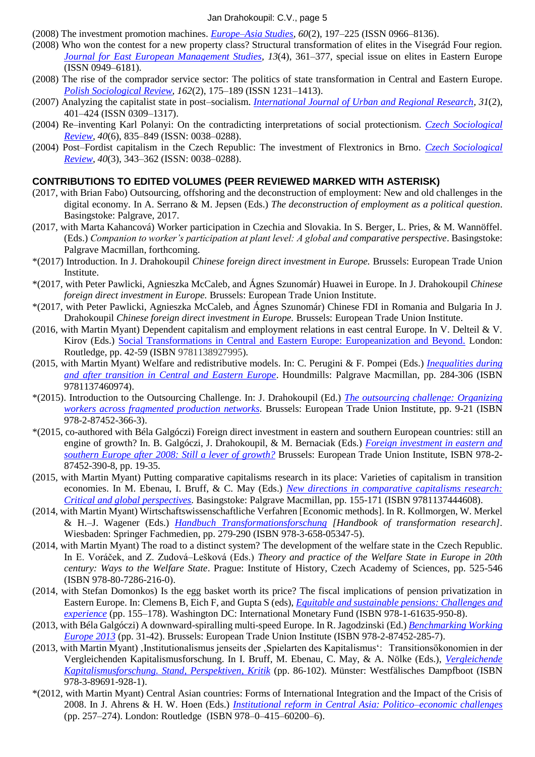#### Jan Drahokoupil: C.V., page 5

- (2008) The investment promotion machines. *[Europe–Asia Studies](http://www.tandfonline.com/doi/abs/10.1080/09668130701820085)*, *60*(2), 197–225 (ISSN 0966–8136).
- (2008) Who won the contest for a new property class? Structural transformation of elites in the Visegrád Four region. *[Journal for East European Management Studies,](http://www.hampp-verlag.de/hampp_e-journals_JEMS.htm) 13*(4), 361–377, special issue on elites in Eastern Europe (ISSN 0949–6181).
- (2008) The rise of the comprador service sector: The politics of state transformation in Central and Eastern Europe. *[Polish Sociological Review,](http://ssrn.com/abstract=1322002) 162*(2), 175–189 (ISSN 1231–1413).
- (2007) Analyzing the capitalist state in post–socialism. *[International Journal of Urban and Regional Research,](http://onlinelibrary.wiley.com/doi/10.1111/j.1468-2427.2007.00727.x/abstract) 31*(2), 401–424 (ISSN 0309–1317).
- (2004) Re–inventing Karl Polanyi: On the contradicting interpretations of social protectionism. *[Czech Sociological](http://sreview.soc.cas.cz/en/issue/48-sociologicky-casopis-czech-sociological-review-6-2004/904)  [Review,](http://sreview.soc.cas.cz/en/issue/48-sociologicky-casopis-czech-sociological-review-6-2004/904) 40*(6), 835–849 (ISSN: 0038–0288).
- (2004) Post–Fordist capitalism in the Czech Republic: The investment of Flextronics in Brno. *[Czech Sociological](http://sreview.soc.cas.cz/en/issue/51-sociologicky-casopis-czech-sociological-review-3-2004/960)  [Review,](http://sreview.soc.cas.cz/en/issue/51-sociologicky-casopis-czech-sociological-review-3-2004/960) 40*(3), 343–362 (ISSN: 0038–0288).

#### **CONTRIBUTIONS TO EDITED VOLUMES (PEER REVIEWED MARKED WITH ASTERISK)**

- (2017, with Brian Fabo) Outsourcing, offshoring and the deconstruction of employment: New and old challenges in the digital economy. In A. Serrano & M. Jepsen (Eds.) *The deconstruction of employment as a political question*. Basingstoke: Palgrave, 2017.
- (2017, with Marta Kahancová) Worker participation in Czechia and Slovakia. In S. Berger, L. Pries, & M. Wannöffel. (Eds.) *Companion to worker's participation at plant level: A global and comparative perspective*. Basingstoke: Palgrave Macmillan, forthcoming.
- \*(2017) Introduction. In J. Drahokoupil *Chinese foreign direct investment in Europe.* Brussels: European Trade Union Institute.
- \*(2017, with Peter Pawlicki, Agnieszka McCaleb, and Ágnes Szunomár) Huawei in Europe. In J. Drahokoupil *Chinese foreign direct investment in Europe.* Brussels: European Trade Union Institute.
- \*(2017, with Peter Pawlicki, Agnieszka McCaleb, and Ágnes Szunomár) Chinese FDI in Romania and Bulgaria In J. Drahokoupil *Chinese foreign direct investment in Europe.* Brussels: European Trade Union Institute.
- (2016, with Martin Myant) Dependent capitalism and employment relations in east central Europe. In V. Delteil & V. Kirov (Eds.) [Social Transformations in Central and Eastern Europe: Europeanization and Beyond.](https://www.routledge.com/Labour-and-Social-Transformation-in-Central-and-Eastern-Europe-Europeanization/Delteil-Kirov/p/book/9781138927995) London: Routledge, pp. 42-59 (ISBN 9781138927995).
- (2015, with Martin Myant) Welfare and redistributive models. In: C. Perugini & F. Pompei (Eds.) *[Inequalities during](http://www.palgrave.com/page/detail/inequalities-during-and-after-transition-in-central-and-eastern-europe-/?isb=9781137460974)  [and after transition in Central and Eastern Europe](http://www.palgrave.com/page/detail/inequalities-during-and-after-transition-in-central-and-eastern-europe-/?isb=9781137460974)*. Houndmills: Palgrave Macmillan, pp. 284-306 (ISBN 9781137460974).
- \*(2015). Introduction to the Outsourcing Challenge. In: J. Drahokoupil (Ed.) *The [outsourcing challenge: Organizing](http://www.etui.org/Publications2/Books/The-outsourcing-challenge-organizing-workers-across-fragmented-production-networks)  [workers across fragmented production networks.](http://www.etui.org/Publications2/Books/The-outsourcing-challenge-organizing-workers-across-fragmented-production-networks)* Brussels: European Trade Union Institute, pp. 9-21 (ISBN 978-2-87452-366-3).
- \*(2015, co-authored with Béla Galgóczi) Foreign direct investment in eastern and southern European countries: still an engine of growth? In. B. Galgóczi, J. Drahokoupil, & M. Bernaciak (Eds.) *[Foreign investment in eastern and](https://www.etui.org/Publications2/Books/Foreign-investment-in-eastern-and-southern-Europe-after-2008.-Still-a-lever-of-growth)  [southern Europe after 2008: Still a lever of growth?](https://www.etui.org/Publications2/Books/Foreign-investment-in-eastern-and-southern-Europe-after-2008.-Still-a-lever-of-growth)* Brussels: European Trade Union Institute, ISBN 978-2- 87452-390-8, pp. 19-35.
- (2015, with Martin Myant) Putting comparative capitalisms research in its place: Varieties of capitalism in transition economies. In M. Ebenau, I. Bruff, & C. May (Eds.) *[New directions in comparative capitalisms research:](http://www.palgrave.com/page/detail/New-Directions-in-Comparative-Capitalisms-Research/?K=9781137444608)  [Critical and global perspectives.](http://www.palgrave.com/page/detail/New-Directions-in-Comparative-Capitalisms-Research/?K=9781137444608)* Basingstoke: Palgrave Macmillan, pp. 155-171 (ISBN 9781137444608).
- (2014, with Martin Myant) Wirtschaftswissenschaftliche Verfahren [Economic methods]. In R. Kollmorgen, W. Merkel & H.–J. Wagener (Eds.) *[Handbuch Transformationsforschung](http://link.springer.com/chapter/10.1007%2F978-3-658-05348-2_22) [Handbook of transformation research].* Wiesbaden: Springer Fachmedien, pp. 279-290 (ISBN 978-3-658-05347-5).
- (2014, with Martin Myant) The road to a distinct system? The development of the welfare state in the Czech Republic. In E. Voráček, and Z. Zudová–Lešková (Eds.) *Theory and practice of the Welfare State in Europe in 20th century: Ways to the Welfare State*. Prague: Institute of History, Czech Academy of Sciences, pp. 525-546 (ISBN 978-80-7286-216-0).
- (2014, with Stefan Domonkos) Is the egg basket worth its price? The fiscal implications of pension privatization in Eastern Europe. In: Clemens B, Eich F, and Gupta S (eds), *[Equitable and sustainable pensions: Challenges and](http://www.imfbookstore.org/ProdDetails.asp?ID=DESPSEA)  [experience](http://www.imfbookstore.org/ProdDetails.asp?ID=DESPSEA)* (pp. 155–178). Washington DC: International Monetary Fund (ISBN 978-1-61635-950-8).
- (2013, with Béla Galgóczi) A downward-spiralling multi-speed Europe. In R. Jagodzinski (Ed.) *[Benchmarking Working](http://www.etui.org/Publications2/Books/Benchmarking-Working-Europe-2013)  [Europe 2013](http://www.etui.org/Publications2/Books/Benchmarking-Working-Europe-2013)* (pp. 31-42). Brussels: European Trade Union Institute (ISBN 978-2-87452-285-7).
- (2013, with Martin Myant) 'Institutionalismus jenseits der 'Spielarten des Kapitalismus': Transitionsökonomien in der Vergleichenden Kapitalismusforschung. In I. Bruff, M. Ebenau, C. May, & A. Nölke (Eds.), *[Vergleichende](http://www.dampfboot-verlag.de/buecher/928-1.html)  [Kapitalismusforschung. Stand, Perspektiven, Kritik](http://www.dampfboot-verlag.de/buecher/928-1.html)* (pp. 86-102)*.* Münster: Westfälisches Dampfboot (ISBN 978-3-89691-928-1).
- \*(2012, with Martin Myant) Central Asian countries: Forms of International Integration and the Impact of the Crisis of 2008. In J. Ahrens & H. W. Hoen (Eds.) *[Institutional reform in Central Asia: Politico–economic challenges](http://www.routledge.com/books/details/9780415602006/)* (pp. 257–274). London: Routledge (ISBN 978–0–415–60200–6).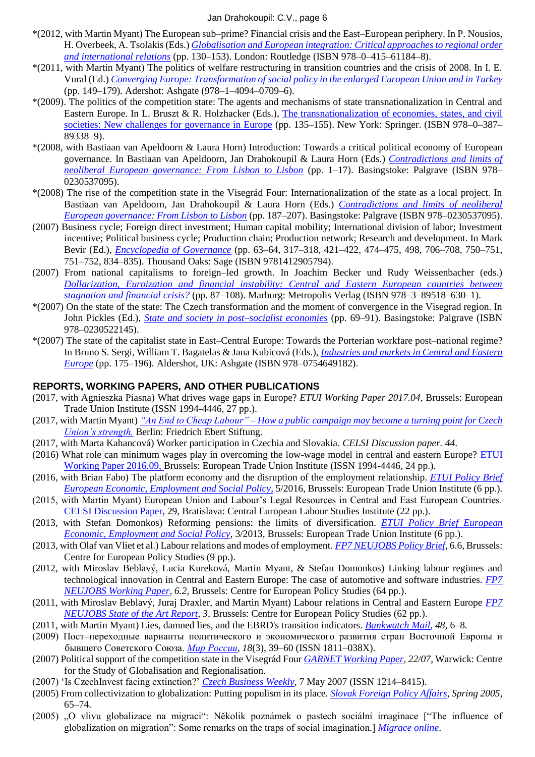#### Jan Drahokoupil: C.V., page 6

- \*(2012, with Martin Myant) The European sub–prime? Financial crisis and the East–European periphery. In P. Nousios, H. Overbeek, A. Tsolakis (Eds.) *[Globalisation and European integration:](http://www.routledge.com/books/details/9780415611848/) Critical approaches to regional order [and international relations](http://www.routledge.com/books/details/9780415611848/)* (pp. 130–153). London: Routledge (ISBN 978–0–415–61184–8).
- \*(2011, with Martin Myant) The politics of welfare restructuring in transition countries and the crisis of 2008. In I. E. Vural (Ed.) *[Converging Europe: Transformation of social policy in the enlarged European Union and in Turkey](http://www.ashgatepublishing.com/default.aspx?page=637&calcTitle=1&title_id=9769&edition_id=10074)* (pp. 149–179)*.* Adershot: Ashgate (978–1–4094–0709–6).
- \*(2009). The politics of the competition state: The agents and mechanisms of state transnationalization in Central and Eastern Europe. In L. Bruszt & R. Holzhacker (Eds.), The transnationalization of economies, states, and civil [societies: New challenges for governance in Europe](http://www.springer.com/economics/policy/book/978-0-387-89338-9) (pp. 135–155). New York: Springer. (ISBN 978–0–387– 89338–9).
- \*(2008, with Bastiaan van Apeldoorn & Laura Horn) Introduction: Towards a critical political economy of European governance. In Bastiaan van Apeldoorn, Jan Drahokoupil & Laura Horn (Eds.) *[Contradictions and limits of](http://www.palgrave.com/products/title.aspx?PID=281010)  [neoliberal European governance: From Lisbon to Lisbon](http://www.palgrave.com/products/title.aspx?PID=281010)* (pp. 1–17). Basingstoke: Palgrave (ISBN 978– 0230537095).
- \*(2008) The rise of the competition state in the Visegrád Four: Internationalization of the state as a local project. In Bastiaan van Apeldoorn, Jan Drahokoupil & Laura Horn (Eds.) *[Contradictions and limits of neoliberal](http://www.palgrave.com/products/title.aspx?PID=281010)  [European governance: From Lisbon to Lisbon](http://www.palgrave.com/products/title.aspx?PID=281010)* (pp. 187–207). Basingstoke: Palgrave (ISBN 978–0230537095).
- (2007) Business cycle; Foreign direct investment; Human capital mobility; International division of labor; Investment incentive; Political business cycle; Production chain; Production network; Research and development. In Mark Bevir (Ed.), *[Encyclopedia of Governance](http://www.sagepub.com/books/Book226852)* (pp. 63–64, 317–318, 421–422, 474–475, 498, 706–708, 750–751, 751–752, 834–835). Thousand Oaks: Sage (ISBN 9781412905794).
- (2007) From national capitalisms to foreign–led growth. In Joachim Becker und Rudy Weissenbacher (eds.) *[Dollarization, Euroization and financial instability: Central and Eastern European countries between](http://www.metropolis-verlag.de/Dollarization,-Euroization-and-Financial-Instability/630/book.do)  [stagnation and financial crisis?](http://www.metropolis-verlag.de/Dollarization,-Euroization-and-Financial-Instability/630/book.do)* (pp. 87–108). Marburg: Metropolis Verlag (ISBN 978–3–89518–630–1).
- \*(2007) On the state of the state: The Czech transformation and the moment of convergence in the Visegrad region. In John Pickles (Ed.), *[State and society in post–socialist economies](http://www.palgrave.com/products/title.aspx?pid=279057)* (pp. 69–91). Basingstoke: Palgrave (ISBN 978–0230522145).
- \*(2007) The state of the capitalist state in East–Central Europe: Towards the Porterian workfare post–national regime? In Bruno S. Sergi, William T. Bagatelas & Jana Kubicová (Eds.), *[Industries and markets in Central and Eastern](http://www.ashgate.com/default.aspx?page=637&calcTitle=1&title_id=6815&edition_id=7005)  [Europe](http://www.ashgate.com/default.aspx?page=637&calcTitle=1&title_id=6815&edition_id=7005)* (pp. 175–196)*.* Aldershot, UK: Ashgate (ISBN 978–0754649182).

#### **REPORTS, WORKING PAPERS, AND OTHER PUBLICATIONS**

- (2017, with Agnieszka Piasna) What drives wage gaps in Europe? *ETUI Working Paper 2017.04*, Brussels: European Trade Union Institute (ISSN 1994-4446, 27 pp.).
- (2017, with Martin Myant) *"An End to Cheap Labour" – [How a public campaign may become a turning point for Czech](https://ssrn.com/abstract=2982303)  [Union's strength.](https://ssrn.com/abstract=2982303)* Berlin: Friedrich Ebert Stiftung.
- (2017, with Marta Kahancová) Worker participation in Czechia and Slovakia. *CELSI Discussion paper. 44*.
- (2016) What role can minimum wages play in overcoming the low-wage model in central and eastern Europe? [ETUI](https://www.etui.org/Publications2/Working-Papers/What-role-can-minimum-wages-play-in-overcoming-the-low-wage-model-in-central-and-eastern-Europe)  [Working Paper 2016.09,](https://www.etui.org/Publications2/Working-Papers/What-role-can-minimum-wages-play-in-overcoming-the-low-wage-model-in-central-and-eastern-Europe) Brussels: European Trade Union Institute (ISSN 1994-4446, 24 pp.).
- (2016, with Brian Fabo) The platform economy and the disruption of the employment relationship. *[ETUI Policy Brief](https://www.etui.org/Publications2/Policy-Briefs/European-Economic-Employment-and-Social-Policy/The-platform-economy-and-the-disruption-of-the-employment-relationship)  [European Economic, Employment and Social Policy](https://www.etui.org/Publications2/Policy-Briefs/European-Economic-Employment-and-Social-Policy/The-platform-economy-and-the-disruption-of-the-employment-relationship)*, 5/2016, Brussels: European Trade Union Institute (6 pp.).
- (2015, with Martin Myant) European Union and Labour's Legal Resources in Central and East European Countries. [CELSI Discussion Paper,](http://www.celsi.sk/en/publications/discussion-papers/detail/40/european-union-and-labours-legal-resources-in-central-and-east-european-countries/) 29, Bratislava: Central European Labour Studies Institute (22 pp.).
- (2013, with Stefan Domonkos) Reforming pensions: the limits of diversification. *[ETUI Policy Brief](http://www.etui.org/Publications2/Policy-Briefs/European-Economic-Employment-and-Social-Policy/Reforming-pensions-the-limits-of-diversification) European Economic, Employment and Social Policy*, 3/2013, Brussels: European Trade Union Institute (6 pp.).
- (2013, with Olaf van Vliet et al.) Labour relations and modes of employment. *[FP7 NEUJOBS Policy Brief,](http://www.neujobs.eu/publications/policy-briefs/labour-relations-and-modes-employment)* 6.6, Brussels: Centre for European Policy Studies (9 pp.).
- (2012, with Miroslav Beblavý, Lucia Kureková, Martin Myant, & Stefan Domonkos) Linking labour regimes and technological innovation in Central and Eastern Europe: The case of automotive and software industries. *[FP7](http://www.neujobs.eu/publications/working-papers/linking-labour-regimes-and-technological-innovation-central-and-eastern-)  [NEUJOBS Working Paper,](http://www.neujobs.eu/publications/working-papers/linking-labour-regimes-and-technological-innovation-central-and-eastern-) 6.2,* Brussels: Centre for European Policy Studies (64 pp.).
- (2011, with Miroslav Beblavý, Juraj Draxler, and Martin Myant) Labour relations in Central and Eastern Europe *[FP7](http://www.neujobs.eu/publications/state-art-reports/labour-relations-central-and-eastern-europe)  [NEUJOBS State of the Art Report,](http://www.neujobs.eu/publications/state-art-reports/labour-relations-central-and-eastern-europe) 3,* Brussels: Centre for European Policy Studies (62 pp.).
- (2011, with Martin Myant) Lies, damned lies, and the EBRD's transition indicators. *[Bankwatch](http://www.bankwatch.org/publications/bankwatch-mail-48#MyantDrahokoupil) Mail, 48,* 6–8.
- (2009) Пост–переходные варианты политического и экономического развития стран Восточной Европы и бывшего Советского Союза. *[Мир России,](http://www.hse.ru/mag/mirros/2009--3/26548311.html) 18*(3), 39–60 (ISSN 1811–038X).
- (2007) Political support of the competition state in the Visegrád Four *[GARNET Working Paper,](http://www2.warwick.ac.uk/fac/soc/garnet/workingpapers/2207.pdf) 22/07*, Warwick: Centre for the Study of Globalisation and Regionalisation.
- (2007) 'Is CzechInvest facing extinction?' *[Czech Business Weekly](http://web.archive.org/web/20070828203550/http:/www.cbw.cz/phprs/2007050702.html)*, 7 May 2007 (ISSN 1214–8415).
- (2005) From collectivization to globalization: Putting populism in its place. *[Slovak Foreign Policy Affairs,](http://www.ceeol.com/aspx/issuedetails.aspx?issueid=c888d725-0daf-11da-a035-0020188dfbd1&articleId=c888d73c-0daf-11da-a035-0020188dfbd1) Spring 2005,*  65–74.
- (2005) "O vlivu globalizace na migraci": Několik poznámek o pastech sociální imaginace ["The influence of globalization on migration": Some remarks on the traps of social imagination.] *[Migrace online](http://www.migraceonline.cz/)*.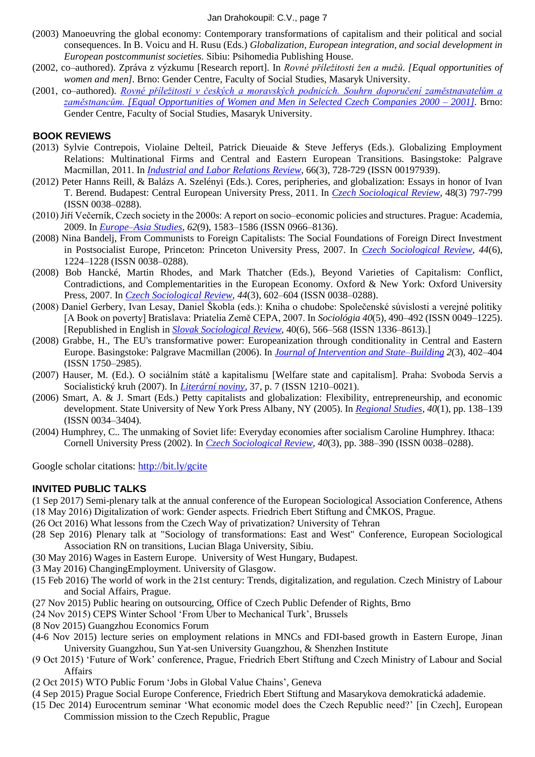- (2003) Manoeuvring the global economy: Contemporary transformations of capitalism and their political and social consequences. In B. Voicu and H. Rusu (Eds.) *Globalization, European integration, and social development in European postcommunist societies.* Sibiu: Psihomedia Publishing House.
- (2002, co–authored). Zpráva z výzkumu [Research report]. In *Rovné příležitosti žen a mužů. [Equal opportunities of women and men].* Brno: Gender Centre, Faculty of Social Studies, Masaryk University.
- (2001, co–authored). *[Rovné příležitosti v českých a moravských podnicích. Souhrn doporučení zaměstnavatelům a](http://www.muni.cz/fss/research/publications/485903)  [zaměstnancům. \[Equal Opportunities of Women and Men in Selected Czech Companies 2000 –](http://www.muni.cz/fss/research/publications/485903) 2001].* Brno: Gender Centre, Faculty of Social Studies, Masaryk University.

#### **BOOK REVIEWS**

- (2013) Sylvie Contrepois, Violaine Delteil, Patrick Dieuaide & Steve Jefferys (Eds.). Globalizing Employment Relations: Multinational Firms and Central and Eastern European Transitions. Basingstoke: Palgrave Macmillan, 2011. In *[Industrial and Labor Relations Review](http://www.ilr.cornell.edu/ilrreview/default.html)*, 66(3), 728-729 (ISSN 00197939).
- (2012) Peter Hanns Reill, & Balázs A. Szelényi (Eds.). Cores, peripheries, and globalization: Essays in honor of Ivan T. Berend. Budapest: Central European University Press, 2011. In *[Czech Sociological Review](http://sreview.soc.cas.cz/uploads/57f478f6424891f0572c52f6f535004e40e9d690_797-799.pdf)*, 48(3) 797-799 (ISSN 0038–0288).
- (2010) Jiří Večerník, Czech society in the 2000s: A report on socio–economic policies and structures. Prague: Academia, 2009. In *[Europe–Asia Studies](http://www.tandfonline.com/doi/abs/10.1080/09668136.2010.515800)*, *62*(9), 1583–1586 (ISSN 0966–8136).
- (2008) Nina Bandelj, From Communists to Foreign Capitalists: The Social Foundations of Foreign Direct Investment in Postsocialist Europe, Princeton: Princeton University Press, 2007. In *[Czech Sociological Review,](http://sreview.soc.cas.cz/en/issue/5-sociologicky-casopis-czech-sociological-review-6-2008/39) 44*(6), 1224–1228 (ISSN 0038–0288).
- (2008) Bob Hancké, Martin Rhodes, and Mark Thatcher (Eds.), Beyond Varieties of Capitalism: Conflict, Contradictions, and Complementarities in the European Economy. Oxford & New York: Oxford University Press, 2007. In *[Czech Sociological Review,](http://sreview.soc.cas.cz/en/issue/8-sociologicky-casopis-czech-sociological-review-3-2008/105) 44*(3), 602–604 (ISSN 0038–0288).
- (2008) Daniel Gerbery, Ivan Lesay, Daniel Škobla (eds.): Kniha o chudobe: Společenské súvislosti a verejné politiky [A Book on poverty] Bratislava: Priatelia Země CEPA, 2007. In *Sociológia 40*(5), 490–492 (ISSN 0049–1225). [Republished in English in *[Slovak Sociological Review,](http://www.ceeol.com/aspx/issuedetails.aspx?issueid=a0d9b17d-078e-4d2d-bd39-f00900e4f7d7&articleId=0ef6a508-c60f-448a-9074-963d91dbc35f)* 40(6), 566–568 (ISSN 1336–8613).]
- (2008) Grabbe, H., The EU's transformative power: Europeanization through conditionality in Central and Eastern Europe. Basingstoke: Palgrave Macmillan (2006). In *[Journal of Intervention and State–Building](http://www.tandfonline.com/doi/abs/10.1080/17502970802436379) 2*(3), 402–404 (ISSN 1750–2985).
- (2007) Hauser, M. (Ed.). O sociálním státě a kapitalismu [Welfare state and capitalism]. Praha: Svoboda Servis a Socialistický kruh (2007). In *[Literární noviny,](http://www.literarky.cz/index_o.php?p=clanek&id=4251&rok=2007&cislo=37)* 37, p. 7 (ISSN 1210–0021).
- (2006) Smart, A. & J. Smart (Eds.) Petty capitalists and globalization: Flexibility, entrepreneurship, and economic development. State University of New York Press Albany, NY (2005). In *[Regional Studies,](http://www.tandfonline.com/doi/abs/10.1080/00343400500450158) 40*(1), pp. 138–139 (ISSN 0034–3404)*.*
- (2004) Humphrey, C.. The unmaking of Soviet life: Everyday economies after socialism Caroline Humphrey. Ithaca: Cornell University Press (2002). In *[Czech Sociological Review,](http://sreview.soc.cas.cz/en/issue/51-sociologicky-casopis-czech-sociological-review-3-2004/965) 40*(3), pp. 388–390 (ISSN 0038–0288).

Google scholar citations:<http://bit.ly/gcite>

#### **INVITED PUBLIC TALKS**

- (1 Sep 2017) Semi-plenary talk at the annual conference of the European Sociological Association Conference, Athens (18 May 2016) Digitalization of work: Gender aspects. Friedrich Ebert Stiftung and ČMKOS, Prague.
- (26 Oct 2016) What lessons from the Czech Way of privatization? University of Tehran
- (28 Sep 2016) Plenary talk at "Sociology of transformations: East and West" Conference, European Sociological Association RN on transitions, Lucian Blaga University, Sibiu.
- (30 May 2016) Wages in Eastern Europe. University of West Hungary, Budapest.
- (3 May 2016) ChangingEmployment. University of Glasgow.
- (15 Feb 2016) The world of work in the 21st century: Trends, digitalization, and regulation. Czech Ministry of Labour and Social Affairs, Prague.
- (27 Nov 2015) Public hearing on outsourcing, Office of Czech Public Defender of Rights, Brno
- (24 Nov 2015) CEPS Winter School 'From Uber to Mechanical Turk', Brussels
- (8 Nov 2015) Guangzhou Economics Forum
- (4-6 Nov 2015) lecture series on employment relations in MNCs and FDI-based growth in Eastern Europe, Jinan University Guangzhou, Sun Yat-sen University Guangzhou, & Shenzhen Institute
- (9 Oct 2015) 'Future of Work' conference, Prague, Friedrich Ebert Stiftung and Czech Ministry of Labour and Social Affairs
- (2 Oct 2015) WTO Public Forum 'Jobs in Global Value Chains', Geneva
- (4 Sep 2015) Prague Social Europe Conference, Friedrich Ebert Stiftung and Masarykova demokratická adademie.
- (15 Dec 2014) Eurocentrum seminar 'What economic model does the Czech Republic need?' [in Czech], European Commission mission to the Czech Republic, Prague